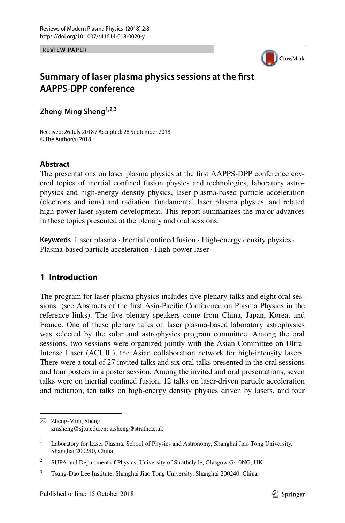**REVIEW PAPER**



# **Summary of laser plasma physics sessions at the frst AAPPS‑DPP conference**

**Zheng‑Ming Sheng1,2,3**

Received: 26 July 2018 / Accepted: 28 September 2018 © The Author(s) 2018

### **Abstract**

The presentations on laser plasma physics at the frst AAPPS-DPP conference covered topics of inertial confned fusion physics and technologies, laboratory astrophysics and high-energy density physics, laser plasma-based particle acceleration (electrons and ions) and radiation, fundamental laser plasma physics, and related high-power laser system development. This report summarizes the major advances in these topics presented at the plenary and oral sessions.

**Keywords** Laser plasma · Inertial confned fusion · High-energy density physics · Plasma-based particle acceleration · High-power laser

# **1 Introduction**

The program for laser plasma physics includes five plenary talks and eight oral sessions (see Abstracts of the frst Asia-Pacifc Conference on Plasma Physics in the reference links). The fve plenary speakers come from China, Japan, Korea, and France. One of these plenary talks on laser plasma-based laboratory astrophysics was selected by the solar and astrophysics program committee. Among the oral sessions, two sessions were organized jointly with the Asian Committee on Ultra-Intense Laser (ACUIL), the Asian collaboration network for high-intensity lasers. There were a total of 27 invited talks and six oral talks presented in the oral sessions and four posters in a poster session. Among the invited and oral presentations, seven talks were on inertial confned fusion, 12 talks on laser-driven particle acceleration and radiation, ten talks on high-energy density physics driven by lasers, and four

 $\boxtimes$  Zheng-Ming Sheng zmsheng@sjtu.edu.cn; z.sheng@strath.ac.uk

<sup>&</sup>lt;sup>1</sup> Laboratory for Laser Plasma, School of Physics and Astronomy, Shanghai Jiao Tong University, Shanghai 200240, China

<sup>&</sup>lt;sup>2</sup> SUPA and Department of Physics, University of Strathclyde, Glasgow G4 0NG, UK

<sup>3</sup> Tsung-Dao Lee Institute, Shanghai Jiao Tong University, Shanghai 200240, China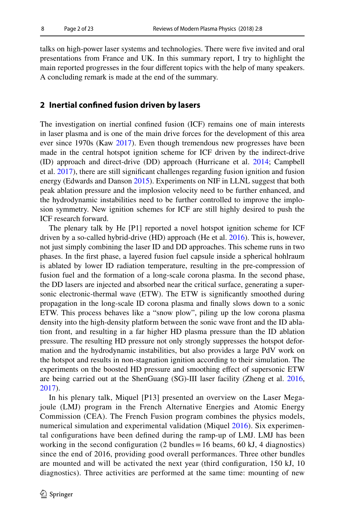talks on high-power laser systems and technologies. There were fve invited and oral presentations from France and UK. In this summary report, I try to highlight the main reported progresses in the four diferent topics with the help of many speakers. A concluding remark is made at the end of the summary.

### **2 Inertial confned fusion driven by lasers**

The investigation on inertial confned fusion (ICF) remains one of main interests in laser plasma and is one of the main drive forces for the development of this area ever since 1970s (Kaw [2017\)](#page-20-0). Even though tremendous new progresses have been made in the central hotspot ignition scheme for ICF driven by the indirect-drive (ID) approach and direct-drive (DD) approach (Hurricane et al. [2014](#page-20-1); Campbell et al. [2017\)](#page-19-0), there are still signifcant challenges regarding fusion ignition and fusion energy (Edwards and Danson [2015\)](#page-20-2). Experiments on NIF in LLNL suggest that both peak ablation pressure and the implosion velocity need to be further enhanced, and the hydrodynamic instabilities need to be further controlled to improve the implosion symmetry. New ignition schemes for ICF are still highly desired to push the ICF research forward.

The plenary talk by He [P1] reported a novel hotspot ignition scheme for ICF driven by a so-called hybrid-drive (HD) approach (He et al. [2016\)](#page-20-3). This is, however, not just simply combining the laser ID and DD approaches. This scheme runs in two phases. In the frst phase, a layered fusion fuel capsule inside a spherical hohlraum is ablated by lower ID radiation temperature, resulting in the pre-compression of fusion fuel and the formation of a long-scale corona plasma. In the second phase, the DD lasers are injected and absorbed near the critical surface, generating a supersonic electronic-thermal wave (ETW). The ETW is significantly smoothed during propagation in the long-scale ID corona plasma and fnally slows down to a sonic ETW. This process behaves like a "snow plow", piling up the low corona plasma density into the high-density platform between the sonic wave front and the ID ablation front, and resulting in a far higher HD plasma pressure than the ID ablation pressure. The resulting HD pressure not only strongly suppresses the hotspot deformation and the hydrodynamic instabilities, but also provides a large PdV work on the hotspot and results in non-stagnation ignition according to their simulation. The experiments on the boosted HD pressure and smoothing efect of supersonic ETW are being carried out at the ShenGuang (SG)-III laser facility (Zheng et al. [2016,](#page-22-0) [2017](#page-22-1)).

In his plenary talk, Miquel [P13] presented an overview on the Laser Megajoule (LMJ) program in the French Alternative Energies and Atomic Energy Commission (CEA). The French Fusion program combines the physics models, numerical simulation and experimental validation (Miquel [2016](#page-21-0)). Six experimental confgurations have been defned during the ramp-up of LMJ. LMJ has been working in the second configuration  $(2 \text{ bundles} = 16 \text{ beams}, 60 \text{ kJ}, 4 \text{ diagnostics})$ since the end of 2016, providing good overall performances. Three other bundles are mounted and will be activated the next year (third confguration, 150 kJ, 10 diagnostics). Three activities are performed at the same time: mounting of new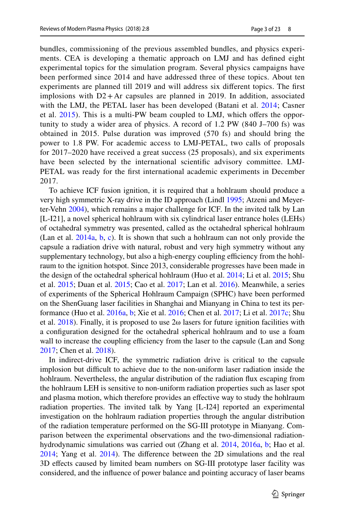bundles, commissioning of the previous assembled bundles, and physics experiments. CEA is developing a thematic approach on LMJ and has defned eight experimental topics for the simulation program. Several physics campaigns have been performed since 2014 and have addressed three of these topics. About ten experiments are planned till 2019 and will address six diferent topics. The frst implosions with  $D2 + Ar$  capsules are planned in 2019. In addition, associated with the LMJ, the PETAL laser has been developed (Batani et al. [2014](#page-19-1); Casner et al. [2015](#page-19-2)). This is a multi-PW beam coupled to LMJ, which ofers the opportunity to study a wider area of physics. A record of 1.2 PW (840 J–700 fs) was obtained in 2015. Pulse duration was improved (570 fs) and should bring the power to 1.8 PW. For academic access to LMJ-PETAL, two calls of proposals for 2017–2020 have received a great success (25 proposals), and six experiments have been selected by the international scientifc advisory committee. LMJ-PETAL was ready for the frst international academic experiments in December 2017.

To achieve ICF fusion ignition, it is required that a hohlraum should produce a very high symmetric X-ray drive in the ID approach (Lindl [1995;](#page-21-1) Atzeni and Meyerter-Vehn [2004\)](#page-19-3), which remains a major challenge for ICF. In the invited talk by Lan [L-I21], a novel spherical hohlraum with six cylindrical laser entrance holes (LEHs) of octahedral symmetry was presented, called as the octahedral spherical hohlraum (Lan et al. [2014a,](#page-20-4) [b,](#page-20-5) [c\)](#page-21-2). It is shown that such a hohlraum can not only provide the capsule a radiation drive with natural, robust and very high symmetry without any supplementary technology, but also a high-energy coupling efficiency from the hohlraum to the ignition hotspot. Since 2013, considerable progresses have been made in the design of the octahedral spherical hohlraum (Huo et al. [2014;](#page-20-6) Li et al. [2015](#page-21-3); Shu et al. [2015;](#page-22-2) Duan et al. [2015](#page-20-7); Cao et al. [2017](#page-19-4); Lan et al. [2016\)](#page-21-4). Meanwhile, a series of experiments of the Spherical Hohlraum Campaign (SPHC) have been performed on the ShenGuang laser facilities in Shanghai and Mianyang in China to test its performance (Huo et al. [2016a](#page-20-8), [b](#page-20-9); Xie et al. [2016](#page-22-3); Chen et al. [2017;](#page-19-5) Li et al. [2017c;](#page-21-5) Shu et al. [2018\)](#page-22-4). Finally, it is proposed to use  $2\omega$  lasers for future ignition facilities with a confguration designed for the octahedral spherical hohlraum and to use a foam wall to increase the coupling efficiency from the laser to the capsule (Lan and Song [2017](#page-21-6); Chen et al. [2018\)](#page-20-10).

In indirect-drive ICF, the symmetric radiation drive is critical to the capsule implosion but difcult to achieve due to the non-uniform laser radiation inside the hohlraum. Nevertheless, the angular distribution of the radiation fux escaping from the hohlraum LEH is sensitive to non-uniform radiation properties such as laser spot and plasma motion, which therefore provides an efective way to study the hohlraum radiation properties. The invited talk by Yang [L-I24] reported an experimental investigation on the hohlraum radiation properties through the angular distribution of the radiation temperature performed on the SG-III prototype in Mianyang. Comparison between the experimental observations and the two-dimensional radiationhydrodynamic simulations was carried out (Zhang et al. [2014,](#page-22-5) [2016a,](#page-22-6) [b;](#page-22-7) Hao et al. [2014](#page-20-11); Yang et al. [2014\)](#page-22-8). The diference between the 2D simulations and the real 3D efects caused by limited beam numbers on SG-III prototype laser facility was considered, and the infuence of power balance and pointing accuracy of laser beams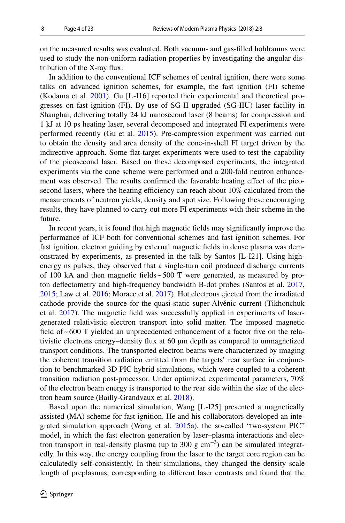on the measured results was evaluated. Both vacuum- and gas-flled hohlraums were used to study the non-uniform radiation properties by investigating the angular distribution of the X-ray fux.

In addition to the conventional ICF schemes of central ignition, there were some talks on advanced ignition schemes, for example, the fast ignition (FI) scheme (Kodama et al. [2001](#page-20-12)). Gu [L-I16] reported their experimental and theoretical progresses on fast ignition (FI). By use of SG-II upgraded (SG-IIU) laser facility in Shanghai, delivering totally 24 kJ nanosecond laser (8 beams) for compression and 1 kJ at 10 ps heating laser, several decomposed and integrated FI experiments were performed recently (Gu et al. [2015\)](#page-20-13). Pre-compression experiment was carried out to obtain the density and area density of the cone-in-shell FI target driven by the indirective approach. Some fat-target experiments were used to test the capability of the picosecond laser. Based on these decomposed experiments, the integrated experiments via the cone scheme were performed and a 200-fold neutron enhancement was observed. The results confrmed the favorable heating efect of the picosecond lasers, where the heating efficiency can reach about 10% calculated from the measurements of neutron yields, density and spot size. Following these encouraging results, they have planned to carry out more FI experiments with their scheme in the future.

In recent years, it is found that high magnetic felds may signifcantly improve the performance of ICF both for conventional schemes and fast ignition schemes. For fast ignition, electron guiding by external magnetic felds in dense plasma was demonstrated by experiments, as presented in the talk by Santos [L-I21]. Using highenergy ns pulses, they observed that a single-turn coil produced discharge currents of 100 kA and then magnetic fields  $\sim$  500 T were generated, as measured by proton defectometry and high-frequency bandwidth B-dot probes (Santos et al. [2017,](#page-21-7) [2015](#page-21-8); Law et al. [2016](#page-21-9); Morace et al. [2017](#page-21-10)). Hot electrons ejected from the irradiated cathode provide the source for the quasi-static super-Alvénic current (Tikhonchuk et al. [2017](#page-22-9)). The magnetic feld was successfully applied in experiments of lasergenerated relativistic electron transport into solid matter. The imposed magnetic field of ~600 T yielded an unprecedented enhancement of a factor five on the relativistic electrons energy–density fux at 60 µm depth as compared to unmagnetized transport conditions. The transported electron beams were characterized by imaging the coherent transition radiation emitted from the targets' rear surface in conjunction to benchmarked 3D PIC hybrid simulations, which were coupled to a coherent transition radiation post-processor. Under optimized experimental parameters, 70% of the electron beam energy is transported to the rear side within the size of the electron beam source (Bailly-Grandvaux et al. [2018\)](#page-19-6).

Based upon the numerical simulation, Wang [L-I25] presented a magnetically assisted (MA) scheme for fast ignition. He and his collaborators developed an integrated simulation approach (Wang et al.  $2015a$ ), the so-called "two-system PIC" model, in which the fast electron generation by laser–plasma interactions and electron transport in real-density plasma (up to 300 g cm<sup>-3</sup>) can be simulated integratedly. In this way, the energy coupling from the laser to the target core region can be calculatedly self-consistently. In their simulations, they changed the density scale length of preplasmas, corresponding to diferent laser contrasts and found that the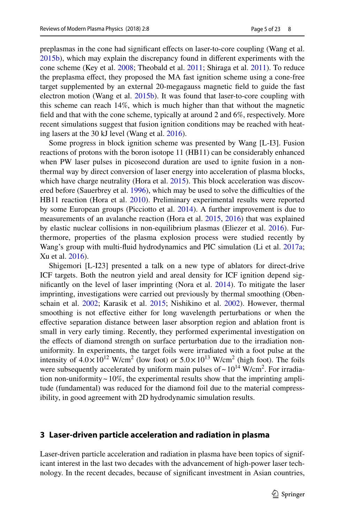preplasmas in the cone had signifcant efects on laser-to-core coupling (Wang et al. [2015b](#page-22-11)), which may explain the discrepancy found in diferent experiments with the cone scheme (Key et al. [2008](#page-20-14); Theobald et al. [2011](#page-22-12); Shiraga et al. [2011\)](#page-21-11). To reduce the preplasma efect, they proposed the MA fast ignition scheme using a cone-free target supplemented by an external 20-megagauss magnetic feld to guide the fast electron motion (Wang et al. [2015b\)](#page-22-11). It was found that laser-to-core coupling with this scheme can reach 14%, which is much higher than that without the magnetic feld and that with the cone scheme, typically at around 2 and 6%, respectively. More recent simulations suggest that fusion ignition conditions may be reached with heating lasers at the 30 kJ level (Wang et al. [2016](#page-22-13)).

Some progress in block ignition scheme was presented by Wang [L-I3]. Fusion reactions of protons with the boron isotope 11 (HB11) can be considerably enhanced when PW laser pulses in picosecond duration are used to ignite fusion in a nonthermal way by direct conversion of laser energy into acceleration of plasma blocks, which have charge neutrality (Hora et al. [2015\)](#page-20-15). This block acceleration was discov-ered before (Sauerbrey et al. [1996\)](#page-21-12), which may be used to solve the difficulties of the HB11 reaction (Hora et al. [2010\)](#page-20-16). Preliminary experimental results were reported by some European groups (Picciotto et al. [2014](#page-21-13)). A further improvement is due to measurements of an avalanche reaction (Hora et al. [2015,](#page-20-15) [2016](#page-20-17)) that was explained by elastic nuclear collisions in non-equilibrium plasmas (Eliezer et al. [2016](#page-20-18)). Furthermore, properties of the plasma explosion process were studied recently by Wang's group with multi-fuid hydrodynamics and PIC simulation (Li et al. [2017a;](#page-21-14) Xu et al. [2016](#page-22-14)).

Shigemori [L-I23] presented a talk on a new type of ablators for direct-drive ICF targets. Both the neutron yield and areal density for ICF ignition depend signifcantly on the level of laser imprinting (Nora et al. [2014](#page-21-15)). To mitigate the laser imprinting, investigations were carried out previously by thermal smoothing (Obenschain et al. [2002;](#page-21-16) Karasik et al. [2015](#page-20-19); Nishikino et al. [2002\)](#page-21-17). However, thermal smoothing is not efective either for long wavelength perturbations or when the efective separation distance between laser absorption region and ablation front is small in very early timing. Recently, they performed experimental investigation on the effects of diamond strength on surface perturbation due to the irradiation nonuniformity. In experiments, the target foils were irradiated with a foot pulse at the intensity of  $4.0 \times 10^{12}$  W/cm<sup>2</sup> (low foot) or  $5.0 \times 10^{13}$  W/cm<sup>2</sup> (high foot). The foils were subsequently accelerated by uniform main pulses of  $\sim 10^{14}$  W/cm<sup>2</sup>. For irradiation non-uniformity  $\sim$  10%, the experimental results show that the imprinting amplitude (fundamental) was reduced for the diamond foil due to the material compressibility, in good agreement with 2D hydrodynamic simulation results.

### <span id="page-4-0"></span>**3 Laser‑driven particle acceleration and radiation in plasma**

Laser-driven particle acceleration and radiation in plasma have been topics of significant interest in the last two decades with the advancement of high-power laser technology. In the recent decades, because of signifcant investment in Asian countries,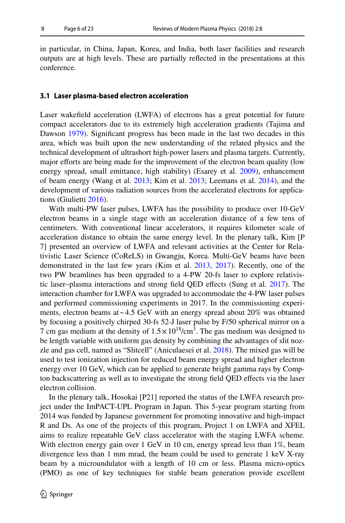in particular, in China, Japan, Korea, and India, both laser facilities and research outputs are at high levels. These are partially refected in the presentations at this conference.

#### <span id="page-5-0"></span>**3.1 Laser plasma‑based electron acceleration**

Laser wakefeld acceleration (LWFA) of electrons has a great potential for future compact accelerators due to its extremely high acceleration gradients (Tajima and Dawson [1979\)](#page-22-15). Significant progress has been made in the last two decades in this area, which was built upon the new understanding of the related physics and the technical development of ultrashort high-power lasers and plasma targets. Currently, major efforts are being made for the improvement of the electron beam quality (low energy spread, small emittance, high stability) (Esarey et al. [2009\)](#page-20-20), enhancement of beam energy (Wang et al. [2013;](#page-22-16) Kim et al. [2013;](#page-20-21) Leemans et al. [2014](#page-21-18)), and the development of various radiation sources from the accelerated electrons for applications (Giulietti [2016](#page-20-22)).

With multi-PW laser pulses, LWFA has the possibility to produce over 10-GeV electron beams in a single stage with an acceleration distance of a few tens of centimeters. With conventional linear accelerators, it requires kilometer scale of acceleration distance to obtain the same energy level. In the plenary talk, Kim [P 7] presented an overview of LWFA and relevant activities at the Center for Relativistic Laser Science (CoReLS) in Gwangju, Korea. Multi-GeV beams have been demonstrated in the last few years (Kim et al. [2013,](#page-20-21) [2017](#page-20-23)). Recently, one of the two PW beamlines has been upgraded to a 4-PW 20-fs laser to explore relativistic laser–plasma interactions and strong feld QED efects (Sung et al. [2017](#page-22-17)). The interaction chamber for LWFA was upgraded to accommodate the 4-PW laser pulses and performed commissioning experiments in 2017. In the commissioning experiments, electron beams at ~4.5 GeV with an energy spread about 20% was obtained by focusing a positively chirped 30-fs 52-J laser pulse by F/50 spherical mirror on a 7 cm gas medium at the density of  $1.5 \times 10^{18}$ /cm<sup>3</sup>. The gas medium was designed to be length variable with uniform gas density by combining the advantages of slit nozzle and gas cell, named as "Slitcell" (Aniculaesei et al. [2018\)](#page-19-7). The mixed gas will be used to test ionization injection for reduced beam energy spread and higher electron energy over 10 GeV, which can be applied to generate bright gamma rays by Compton backscattering as well as to investigate the strong feld QED efects via the laser electron collision.

In the plenary talk, Hosokai [P21] reported the status of the LWFA research project under the ImPACT-UPL Program in Japan. This 5-year program starting from 2014 was funded by Japanese government for promoting innovative and high-impact R and Ds. As one of the projects of this program, Project 1 on LWFA and XFEL aims to realize repeatable GeV class accelerator with the staging LWFA scheme. With electron energy gain over 1 GeV in 10 cm, energy spread less than 1%, beam divergence less than 1 mm mrad, the beam could be used to generate 1 keV X-ray beam by a microundulator with a length of 10 cm or less. Plasma micro-optics (PMO) as one of key techniques for stable beam generation provide excellent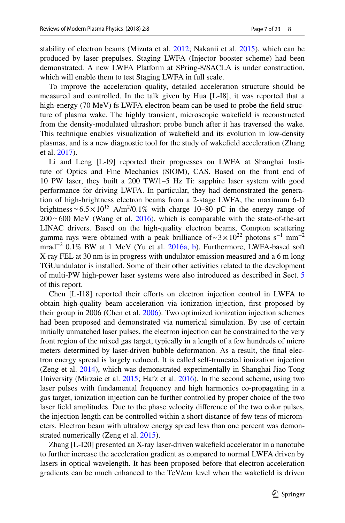stability of electron beams (Mizuta et al. [2012;](#page-21-19) Nakanii et al. [2015](#page-21-20)), which can be produced by laser prepulses. Staging LWFA (Injector booster scheme) had been demonstrated. A new LWFA Platform at SPring-8/SACLA is under construction, which will enable them to test Staging LWFA in full scale.

To improve the acceleration quality, detailed acceleration structure should be measured and controlled. In the talk given by Hua [L-I8], it was reported that a high-energy (70 MeV) fs LWFA electron beam can be used to probe the field structure of plasma wake. The highly transient, microscopic wakefeld is reconstructed from the density-modulated ultrashort probe bunch after it has traversed the wake. This technique enables visualization of wakefeld and its evolution in low-density plasmas, and is a new diagnostic tool for the study of wakefeld acceleration (Zhang et al. [2017\)](#page-22-18).

Li and Leng [L-I9] reported their progresses on LWFA at Shanghai Institute of Optics and Fine Mechanics (SIOM), CAS. Based on the front end of 10 PW laser, they built a 200 TW/1–5 Hz Ti: sapphire laser system with good performance for driving LWFA. In particular, they had demonstrated the generation of high-brightness electron beams from a 2-stage LWFA, the maximum 6-D brightness∼6.5×10<sup>15</sup> A/m<sup>2</sup>/0.1% with charge 10–80 pC in the energy range of 200∼600 MeV (Wang et al. [2016\)](#page-22-19), which is comparable with the state-of-the-art LINAC drivers. Based on the high-quality electron beams, Compton scattering gamma rays were obtained with a peak brilliance of ~  $3 \times 10^{22}$  photons s<sup>-1</sup> mm<sup>-2</sup> mrad<sup> $-2$ </sup> 0.1% BW at 1 MeV (Yu et al. [2016a](#page-22-20), [b\)](#page-22-21). Furthermore, LWFA-based soft X-ray FEL at 30 nm is in progress with undulator emission measured and a 6 m long TGUundulator is installed. Some of their other activities related to the development of multi-PW high-power laser systems were also introduced as described in Sect. [5](#page-17-0) of this report.

Chen [L-I18] reported their eforts on electron injection control in LWFA to obtain high-quality beam acceleration via ionization injection, frst proposed by their group in 2006 (Chen et al. [2006\)](#page-19-8). Two optimized ionization injection schemes had been proposed and demonstrated via numerical simulation. By use of certain initially unmatched laser pulses, the electron injection can be constrained to the very front region of the mixed gas target, typically in a length of a few hundreds of micro meters determined by laser-driven bubble deformation. As a result, the fnal electron energy spread is largely reduced. It is called self-truncated ionization injection (Zeng et al. [2014\)](#page-22-22), which was demonstrated experimentally in Shanghai Jiao Tong University (Mirzaie et al. [2015](#page-21-21); Hafz et al. [2016](#page-20-24)). In the second scheme, using two laser pulses with fundamental frequency and high harmonics co-propagating in a gas target, ionization injection can be further controlled by proper choice of the two laser feld amplitudes. Due to the phase velocity diference of the two color pulses, the injection length can be controlled within a short distance of few tens of micrometers. Electron beam with ultralow energy spread less than one percent was demonstrated numerically (Zeng et al. [2015\)](#page-22-23).

Zhang [L-I20] presented an X-ray laser-driven wakefeld accelerator in a nanotube to further increase the acceleration gradient as compared to normal LWFA driven by lasers in optical wavelength. It has been proposed before that electron acceleration gradients can be much enhanced to the TeV/cm level when the wakefeld is driven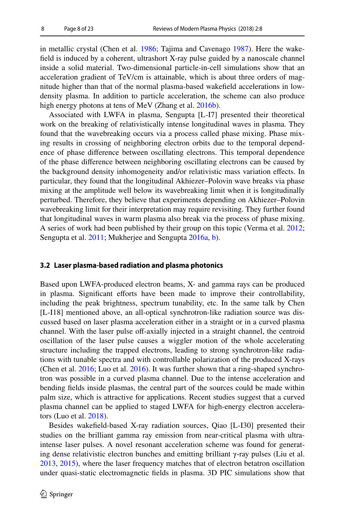in metallic crystal (Chen et al. [1986](#page-19-9); Tajima and Cavenago [1987\)](#page-22-24). Here the wakefeld is induced by a coherent, ultrashort X-ray pulse guided by a nanoscale channel inside a solid material. Two-dimensional particle-in-cell simulations show that an acceleration gradient of TeV/cm is attainable, which is about three orders of magnitude higher than that of the normal plasma-based wakefeld accelerations in lowdensity plasma. In addition to particle acceleration, the scheme can also produce high energy photons at tens of MeV (Zhang et al. [2016b](#page-22-7)).

Associated with LWFA in plasma, Sengupta [L-I7] presented their theoretical work on the breaking of relativistically intense longitudinal waves in plasma. They found that the wavebreaking occurs via a process called phase mixing. Phase mixing results in crossing of neighboring electron orbits due to the temporal dependence of phase diference between oscillating electrons. This temporal dependence of the phase diference between neighboring oscillating electrons can be caused by the background density inhomogeneity and/or relativistic mass variation efects. In particular, they found that the longitudinal Akhiezer–Polovin wave breaks via phase mixing at the amplitude well below its wavebreaking limit when it is longitudinally perturbed. Therefore, they believe that experiments depending on Akhiezer–Polovin wavebreaking limit for their interpretation may require revisiting. They further found that longitudinal waves in warm plasma also break via the process of phase mixing. A series of work had been published by their group on this topic (Verma et al. [2012;](#page-22-25) Sengupta et al. [2011;](#page-21-22) Mukherjee and Sengupta [2016a](#page-21-23), [b](#page-21-24)).

#### **3.2 Laser plasma‑based radiation and plasma photonics**

Based upon LWFA-produced electron beams, X- and gamma rays can be produced in plasma. Significant efforts have been made to improve their controllability, including the peak brightness, spectrum tunability, etc. In the same talk by Chen [L-I18] mentioned above, an all-optical synchrotron-like radiation source was discussed based on laser plasma acceleration either in a straight or in a curved plasma channel. With the laser pulse off-axially injected in a straight channel, the centroid oscillation of the laser pulse causes a wiggler motion of the whole accelerating structure including the trapped electrons, leading to strong synchrotron-like radiations with tunable spectra and with controllable polarization of the produced X-rays (Chen et al. [2016;](#page-19-10) Luo et al. [2016\)](#page-21-25). It was further shown that a ring-shaped synchrotron was possible in a curved plasma channel. Due to the intense acceleration and bending felds inside plasmas, the central part of the sources could be made within palm size, which is attractive for applications. Recent studies suggest that a curved plasma channel can be applied to staged LWFA for high-energy electron accelerators (Luo et al. [2018](#page-21-26)).

Besides wakefeld-based X-ray radiation sources, Qiao [L-I30] presented their studies on the brilliant gamma ray emission from near-critical plasma with ultraintense laser pulses. A novel resonant acceleration scheme was found for generating dense relativistic electron bunches and emitting brilliant γ-ray pulses (Liu et al. [2013](#page-21-27), [2015](#page-21-28)), where the laser frequency matches that of electron betatron oscillation under quasi-static electromagnetic felds in plasma. 3D PIC simulations show that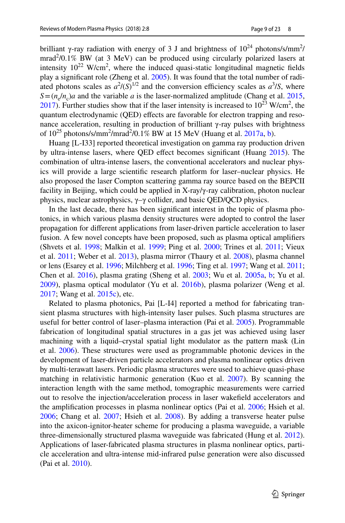brilliant γ-ray radiation with energy of 3 J and brightness of  $10^{24}$  photons/s/mm<sup>2</sup>/  $mrad<sup>2</sup>/0.1%$  BW (at 3 MeV) can be produced using circularly polarized lasers at intensity  $10^{22}$  W/cm<sup>2</sup>, where the induced quasi-static longitudinal magnetic fields play a signifcant role (Zheng et al. [2005\)](#page-22-26). It was found that the total number of radiated photons scales as  $a^2/(S)^{1/2}$  and the conversion efficiency scales as  $a^3/S$ , where  $S = (n_e/n_e)a$  and the variable *a* is the laser-normalized amplitude (Chang et al. [2015,](#page-19-11) [2017](#page-19-12)). Further studies show that if the laser intensity is increased to  $10^{23}$  W/cm<sup>2</sup>, the quantum electrodynamic (QED) effects are favorable for electron trapping and resonance acceleration, resulting in production of brilliant γ-ray pulses with brightness of  $10^{25}$  photons/s/mm<sup>2</sup>/mrad<sup>2</sup>/0.1% BW at 15 MeV (Huang et al. [2017a,](#page-20-25) [b\)](#page-20-26).

Huang [L-I33] reported theoretical investigation on gamma ray production driven by ultra-intense lasers, where QED effect becomes significant (Huang [2015](#page-20-27)). The combination of ultra-intense lasers, the conventional accelerators and nuclear physics will provide a large scientifc research platform for laser–nuclear physics. He also proposed the laser Compton scattering gamma ray source based on the BEPCII facility in Beijing, which could be applied in X-ray/γ-ray calibration, photon nuclear physics, nuclear astrophysics,  $γ-γ$  collider, and basic QED/QCD physics.

In the last decade, there has been signifcant interest in the topic of plasma photonics, in which various plasma density structures were adopted to control the laser propagation for diferent applications from laser-driven particle acceleration to laser fusion. A few novel concepts have been proposed, such as plasma optical amplifers (Shvets et al. [1998](#page-22-27); Malkin et al. [1999;](#page-21-29) Ping et al. [2000;](#page-21-30) Trines et al. [2011](#page-22-28); Vieux et al. [2011;](#page-22-29) Weber et al. [2013\)](#page-22-30), plasma mirror (Thaury et al. [2008](#page-22-31)), plasma channel or lens (Esarey et al. [1996;](#page-20-28) Milchberg et al. [1996](#page-21-31); Ting et al. [1997](#page-22-32); Wang et al. [2011;](#page-22-33) Chen et al. [2016\)](#page-19-10), plasma grating (Sheng et al. [2003;](#page-21-32) Wu et al. [2005a,](#page-22-34) [b](#page-22-35); Yu et al. [2009](#page-22-36)), plasma optical modulator (Yu et al. [2016b](#page-22-21)), plasma polarizer (Weng et al. [2017](#page-22-37); Wang et al. [2015c](#page-22-38)), etc.

Related to plasma photonics, Pai [L-I4] reported a method for fabricating transient plasma structures with high-intensity laser pulses. Such plasma structures are useful for better control of laser–plasma interaction (Pai et al. [2005\)](#page-21-33). Programmable fabrication of longitudinal spatial structures in a gas jet was achieved using laser machining with a liquid–crystal spatial light modulator as the pattern mask (Lin et al. [2006\)](#page-21-34). These structures were used as programmable photonic devices in the development of laser-driven particle accelerators and plasma nonlinear optics driven by multi-terawatt lasers. Periodic plasma structures were used to achieve quasi-phase matching in relativistic harmonic generation (Kuo et al. [2007](#page-20-29)). By scanning the interaction length with the same method, tomographic measurements were carried out to resolve the injection/acceleration process in laser wakefeld accelerators and the amplifcation processes in plasma nonlinear optics (Pai et al. [2006](#page-21-35); Hsieh et al. [2006](#page-20-30); Chang et al. [2007](#page-19-13); Hsieh et al. [2008](#page-20-31)). By adding a transverse heater pulse into the axicon-ignitor-heater scheme for producing a plasma waveguide, a variable three-dimensionally structured plasma waveguide was fabricated (Hung et al. [2012\)](#page-20-32). Applications of laser-fabricated plasma structures in plasma nonlinear optics, particle acceleration and ultra-intense mid-infrared pulse generation were also discussed (Pai et al. [2010](#page-21-36)).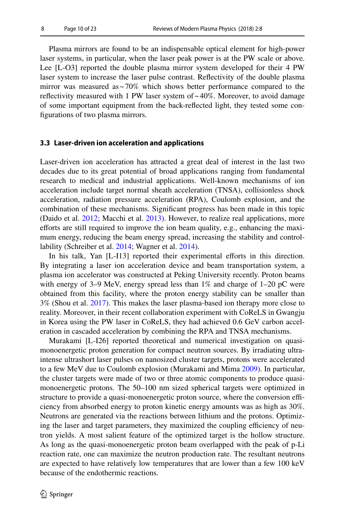Plasma mirrors are found to be an indispensable optical element for high-power laser systems, in particular, when the laser peak power is at the PW scale or above. Lee [L-O3] reported the double plasma mirror system developed for their 4 PW laser system to increase the laser pulse contrast. Refectivity of the double plasma mirror was measured as  $\sim$  70% which shows better performance compared to the refectivity measured with 1 PW laser system of~40%. Moreover, to avoid damage of some important equipment from the back-refected light, they tested some confgurations of two plasma mirrors.

#### **3.3 Laser‑driven ion acceleration and applications**

Laser-driven ion acceleration has attracted a great deal of interest in the last two decades due to its great potential of broad applications ranging from fundamental research to medical and industrial applications. Well-known mechanisms of ion acceleration include target normal sheath acceleration (TNSA), collisionless shock acceleration, radiation pressure acceleration (RPA), Coulomb explosion, and the combination of these mechanisms. Signifcant progress has been made in this topic (Daido et al. [2012;](#page-20-33) Macchi et al. [2013\)](#page-21-37). However, to realize real applications, more efforts are still required to improve the ion beam quality, e.g., enhancing the maximum energy, reducing the beam energy spread, increasing the stability and controllability (Schreiber et al. [2014;](#page-21-38) Wagner et al. [2014](#page-22-39)).

In his talk, Yan [L-I13] reported their experimental efforts in this direction. By integrating a laser ion acceleration device and beam transportation system, a plasma ion accelerator was constructed at Peking University recently. Proton beams with energy of 3–9 MeV, energy spread less than 1% and charge of 1–20 pC were obtained from this facility, where the proton energy stability can be smaller than 3% (Shou et al. [2017](#page-21-39)). This makes the laser plasma-based ion therapy more close to reality. Moreover, in their recent collaboration experiment with CoReLS in Gwangju in Korea using the PW laser in CoReLS, they had achieved 0.6 GeV carbon acceleration in cascaded acceleration by combining the RPA and TNSA mechanisms.

Murakami [L-I26] reported theoretical and numerical investigation on quasimonoenergetic proton generation for compact neutron sources. By irradiating ultraintense ultrashort laser pulses on nanosized cluster targets, protons were accelerated to a few MeV due to Coulomb explosion (Murakami and Mima [2009](#page-21-40)). In particular, the cluster targets were made of two or three atomic components to produce quasimonoenergetic protons. The 50–100 nm sized spherical targets were optimized in structure to provide a quasi-monoenergetic proton source, where the conversion efficiency from absorbed energy to proton kinetic energy amounts was as high as 30%. Neutrons are generated via the reactions between lithium and the protons. Optimizing the laser and target parameters, they maximized the coupling efficiency of neutron yields. A most salient feature of the optimized target is the hollow structure. As long as the quasi-monoenergetic proton beam overlapped with the peak of p-Li reaction rate, one can maximize the neutron production rate. The resultant neutrons are expected to have relatively low temperatures that are lower than a few 100 keV because of the endothermic reactions.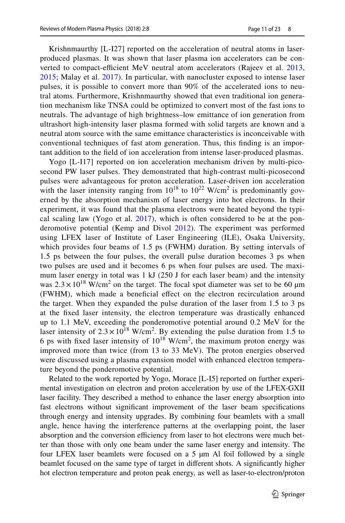Krishnmaurthy [L-I27] reported on the acceleration of neutral atoms in laserproduced plasmas. It was shown that laser plasma ion accelerators can be con-verted to compact-efficient MeV neutral atom accelerators (Rajeev et al. [2013,](#page-21-41) [2015;](#page-21-42) Malay et al. [2017\)](#page-21-43). In particular, with nanocluster exposed to intense laser pulses, it is possible to convert more than 90% of the accelerated ions to neutral atoms. Furthermore, Krishnmaurthy showed that even traditional ion generation mechanism like TNSA could be optimized to convert most of the fast ions to neutrals. The advantage of high brightness–low emittance of ion generation from ultrashort high-intensity laser plasma formed with solid targets are known and a neutral atom source with the same emittance characteristics is inconceivable with conventional techniques of fast atom generation. Thus, this fnding is an important addition to the feld of ion acceleration from intense laser-produced plasmas.

Yogo [L-I17] reported on ion acceleration mechanism driven by multi-picosecond PW laser pulses. They demonstrated that high-contrast multi-picosecond pulses were advantageous for proton acceleration. Laser-driven ion acceleration with the laser intensity ranging from  $10^{18}$  to  $10^{22}$  W/cm<sup>2</sup> is predominantly governed by the absorption mechanism of laser energy into hot electrons. In their experiment, it was found that the plasma electrons were heated beyond the typical scaling law (Yogo et al.  $2017$ ), which is often considered to be at the ponderomotive potential (Kemp and Divol [2012](#page-20-34)). The experiment was performed using LFEX laser of Institute of Laser Engineering (ILE), Osaka University, which provides four beams of 1.5 ps (FWHM) duration. By setting intervals of 1.5 ps between the four pulses, the overall pulse duration becomes 3 ps when two pulses are used and it becomes 6 ps when four pulses are used. The maximum laser energy in total was 1 kJ (250 J for each laser beam) and the intensity was  $2.3 \times 10^{18}$  W/cm<sup>2</sup> on the target. The focal spot diameter was set to be 60  $\mu$ m (FWHM), which made a benefcial efect on the electron recirculation around the target. When they expanded the pulse duration of the laser from 1.5 to 3 ps at the fxed laser intensity, the electron temperature was drastically enhanced up to 1.1 MeV, exceeding the ponderomotive potential around 0.2 MeV for the laser intensity of  $2.3 \times 10^{18}$  W/cm<sup>2</sup>. By extending the pulse duration from 1.5 to 6 ps with fixed laser intensity of  $10^{18}$  W/cm<sup>2</sup>, the maximum proton energy was improved more than twice (from 13 to 33 MeV). The proton energies observed were discussed using a plasma expansion model with enhanced electron temperature beyond the ponderomotive potential.

Related to the work reported by Yogo, Morace [L-I5] reported on further experimental investigation on electron and proton acceleration by use of the LFEX-GXII laser facility. They described a method to enhance the laser energy absorption into fast electrons without signifcant improvement of the laser beam specifcations through energy and intensity upgrades. By combining four beamlets with a small angle, hence having the interference patterns at the overlapping point, the laser absorption and the conversion efficiency from laser to hot electrons were much better than those with only one beam under the same laser energy and intensity. The four LFEX laser beamlets were focused on a 5  $\mu$ m Al foil followed by a single beamlet focused on the same type of target in diferent shots. A signifcantly higher hot electron temperature and proton peak energy, as well as laser-to-electron/proton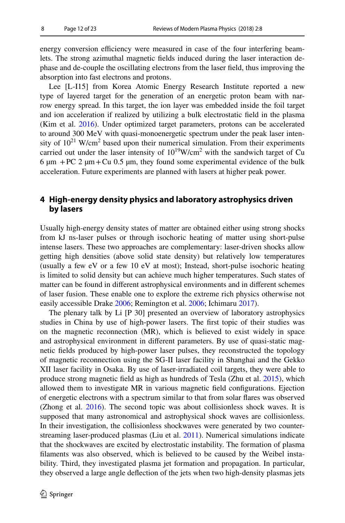energy conversion efficiency were measured in case of the four interfering beamlets. The strong azimuthal magnetic felds induced during the laser interaction dephase and de-couple the oscillating electrons from the laser feld, thus improving the absorption into fast electrons and protons.

Lee [L-I15] from Korea Atomic Energy Research Institute reported a new type of layered target for the generation of an energetic proton beam with narrow energy spread. In this target, the ion layer was embedded inside the foil target and ion acceleration if realized by utilizing a bulk electrostatic feld in the plasma (Kim et al. [2016](#page-20-35)). Under optimized target parameters, protons can be accelerated to around 300 MeV with quasi-monoenergetic spectrum under the peak laser intensity of  $10^{21}$  W/cm<sup>2</sup> based upon their numerical simulation. From their experiments carried out under the laser intensity of  $10^{19}$ W/cm<sup>2</sup> with the sandwich target of Cu 6  $\mu$ m +PC 2  $\mu$ m + Cu 0.5  $\mu$ m, they found some experimental evidence of the bulk acceleration. Future experiments are planned with lasers at higher peak power.

# **4 High‑energy density physics and laboratory astrophysics driven by lasers**

Usually high-energy density states of matter are obtained either using strong shocks from kJ ns-laser pulses or through isochoric heating of matter using short-pulse intense lasers. These two approaches are complementary: laser-driven shocks allow getting high densities (above solid state density) but relatively low temperatures (usually a few eV or a few 10 eV at most); Instead, short-pulse isochoric heating is limited to solid density but can achieve much higher temperatures. Such states of matter can be found in diferent astrophysical environments and in diferent schemes of laser fusion. These enable one to explore the extreme rich physics otherwise not easily accessible Drake [2006](#page-20-36); Remington et al. [2006](#page-21-44); Ichimaru [2017](#page-20-37)).

The plenary talk by Li [P 30] presented an overview of laboratory astrophysics studies in China by use of high-power lasers. The frst topic of their studies was on the magnetic reconnection (MR), which is believed to exist widely in space and astrophysical environment in diferent parameters. By use of quasi-static magnetic felds produced by high-power laser pulses, they reconstructed the topology of magnetic reconnection using the SG-II laser facility in Shanghai and the Gekko XII laser facility in Osaka. By use of laser-irradiated coil targets, they were able to produce strong magnetic feld as high as hundreds of Tesla (Zhu et al. [2015](#page-22-41)), which allowed them to investigate MR in various magnetic feld confgurations. Ejection of energetic electrons with a spectrum similar to that from solar fares was observed (Zhong et al.  $2016$ ). The second topic was about collisionless shock waves. It is supposed that many astronomical and astrophysical shock waves are collisionless. In their investigation, the collisionless shockwaves were generated by two counterstreaming laser-produced plasmas (Liu et al. [2011\)](#page-21-45). Numerical simulations indicate that the shockwaves are excited by electrostatic instability. The formation of plasma flaments was also observed, which is believed to be caused by the Weibel instability. Third, they investigated plasma jet formation and propagation. In particular, they observed a large angle defection of the jets when two high-density plasmas jets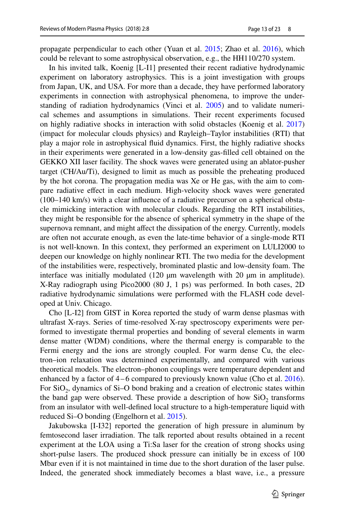propagate perpendicular to each other (Yuan et al. [2015;](#page-22-43) Zhao et al. [2016\)](#page-22-44), which could be relevant to some astrophysical observation, e.g., the HH110/270 system.

In his invited talk, Koenig [L-I1] presented their recent radiative hydrodynamic experiment on laboratory astrophysics. This is a joint investigation with groups from Japan, UK, and USA. For more than a decade, they have performed laboratory experiments in connection with astrophysical phenomena, to improve the understanding of radiation hydrodynamics (Vinci et al. [2005](#page-22-45)) and to validate numerical schemes and assumptions in simulations. Their recent experiments focused on highly radiative shocks in interaction with solid obstacles (Koenig et al. [2017\)](#page-20-38) (impact for molecular clouds physics) and Rayleigh–Taylor instabilities (RTI) that play a major role in astrophysical fuid dynamics. First, the highly radiative shocks in their experiments were generated in a low-density gas-flled cell obtained on the GEKKO XII laser facility. The shock waves were generated using an ablator-pusher target (CH/Au/Ti), designed to limit as much as possible the preheating produced by the hot corona. The propagation media was Xe or He gas, with the aim to compare radiative effect in each medium. High-velocity shock waves were generated (100–140 km/s) with a clear infuence of a radiative precursor on a spherical obstacle mimicking interaction with molecular clouds. Regarding the RTI instabilities, they might be responsible for the absence of spherical symmetry in the shape of the supernova remnant, and might affect the dissipation of the energy. Currently, models are often not accurate enough, as even the late-time behavior of a single-mode RTI is not well-known. In this context, they performed an experiment on LULI2000 to deepen our knowledge on highly nonlinear RTI. The two media for the development of the instabilities were, respectively, brominated plastic and low-density foam. The interface was initially modulated  $(120 \mu m$  wavelength with  $20 \mu m$  in amplitude). X-Ray radiograph using Pico2000 (80 J, 1 ps) was performed. In both cases, 2D radiative hydrodynamic simulations were performed with the FLASH code developed at Univ. Chicago.

Cho [L-I2] from GIST in Korea reported the study of warm dense plasmas with ultrafast X-rays. Series of time-resolved X-ray spectroscopy experiments were performed to investigate thermal properties and bonding of several elements in warm dense matter (WDM) conditions, where the thermal energy is comparable to the Fermi energy and the ions are strongly coupled. For warm dense Cu, the electron–ion relaxation was determined experimentally, and compared with various theoretical models. The electron–phonon couplings were temperature dependent and enhanced by a factor of  $4-6$  compared to previously known value (Cho et al. [2016\)](#page-20-39). For  $SiO<sub>2</sub>$ , dynamics of  $Si-O$  bond braking and a creation of electronic states within the band gap were observed. These provide a description of how  $SiO<sub>2</sub>$  transforms from an insulator with well-defned local structure to a high-temperature liquid with reduced Si–O bonding (Engelhorn et al. [2015\)](#page-20-40).

Jakubowska [I-I32] reported the generation of high pressure in aluminum by femtosecond laser irradiation. The talk reported about results obtained in a recent experiment at the LOA using a Ti:Sa laser for the creation of strong shocks using short-pulse lasers. The produced shock pressure can initially be in excess of 100 Mbar even if it is not maintained in time due to the short duration of the laser pulse. Indeed, the generated shock immediately becomes a blast wave, i.e., a pressure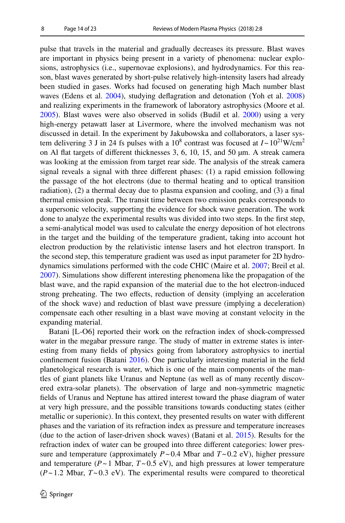pulse that travels in the material and gradually decreases its pressure. Blast waves are important in physics being present in a variety of phenomena: nuclear explosions, astrophysics (i.e., supernovae explosions), and hydrodynamics. For this reason, blast waves generated by short-pulse relatively high-intensity lasers had already been studied in gases. Works had focused on generating high Mach number blast waves (Edens et al. [2004](#page-20-41)), studying defagration and detonation (Yoh et al. [2008](#page-22-46)) and realizing experiments in the framework of laboratory astrophysics (Moore et al. [2005](#page-21-46)). Blast waves were also observed in solids (Budil et al. [2000](#page-19-14)) using a very high-energy petawatt laser at Livermore, where the involved mechanism was not discussed in detail. In the experiment by Jakubowska and collaborators, a laser system delivering 3 J in 24 fs pulses with a  $10^8$  contrast was focused at  $I \sim 10^{21}$ W/cm<sup>2</sup> on Al fat targets of diferent thicknesses 3, 6, 10, 15, and 50 µm. A streak camera was looking at the emission from target rear side. The analysis of the streak camera signal reveals a signal with three diferent phases: (1) a rapid emission following the passage of the hot electrons (due to thermal heating and to optical transition radiation), (2) a thermal decay due to plasma expansion and cooling, and (3) a fnal thermal emission peak. The transit time between two emission peaks corresponds to a supersonic velocity, supporting the evidence for shock wave generation. The work done to analyze the experimental results was divided into two steps. In the frst step, a semi-analytical model was used to calculate the energy deposition of hot electrons in the target and the building of the temperature gradient, taking into account hot electron production by the relativistic intense lasers and hot electron transport. In the second step, this temperature gradient was used as input parameter for 2D hydrodynamics simulations performed with the code CHIC (Maire et al. [2007;](#page-21-47) Breil et al. [2007](#page-19-15)). Simulations show diferent interesting phenomena like the propagation of the blast wave, and the rapid expansion of the material due to the hot electron-induced strong preheating. The two efects, reduction of density (implying an acceleration of the shock wave) and reduction of blast wave pressure (implying a deceleration) compensate each other resulting in a blast wave moving at constant velocity in the expanding material.

Batani [L-O6] reported their work on the refraction index of shock-compressed water in the megabar pressure range. The study of matter in extreme states is interesting from many felds of physics going from laboratory astrophysics to inertial confnement fusion (Batani [2016\)](#page-19-16). One particularly interesting material in the feld planetological research is water, which is one of the main components of the mantles of giant planets like Uranus and Neptune (as well as of many recently discovered extra-solar planets). The observation of large and non-symmetric magnetic felds of Uranus and Neptune has attired interest toward the phase diagram of water at very high pressure, and the possible transitions towards conducting states (either metallic or superionic). In this context, they presented results on water with diferent phases and the variation of its refraction index as pressure and temperature increases (due to the action of laser-driven shock waves) (Batani et al. [2015](#page-19-17)). Results for the refraction index of water can be grouped into three diferent categories: lower pressure and temperature (approximately  $P \sim 0.4$  Mbar and  $T \sim 0.2$  eV), higher pressure and temperature  $(P \sim 1$  Mbar,  $T \sim 0.5$  eV), and high pressures at lower temperature  $(P \sim 1.2$  Mbar,  $T \sim 0.3$  eV). The experimental results were compared to theoretical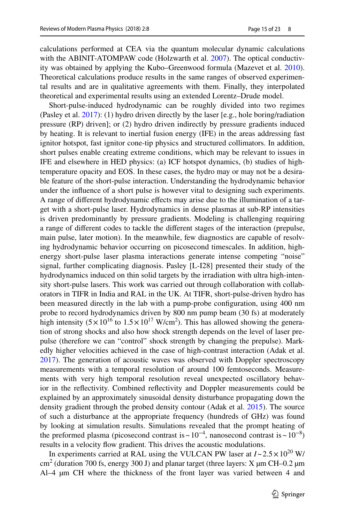calculations performed at CEA via the quantum molecular dynamic calculations with the ABINIT-ATOMPAW code (Holzwarth et al. [2007\)](#page-20-42). The optical conductivity was obtained by applying the Kubo–Greenwood formula (Mazevet et al. [2010\)](#page-21-48). Theoretical calculations produce results in the same ranges of observed experimental results and are in qualitative agreements with them. Finally, they interpolated theoretical and experimental results using an extended Lorentz–Drude model.

Short-pulse-induced hydrodynamic can be roughly divided into two regimes (Pasley et al. [2017](#page-21-49)): (1) hydro driven directly by the laser [e.g., hole boring/radiation pressure (RP) driven]; or (2) hydro driven indirectly by pressure gradients induced by heating. It is relevant to inertial fusion energy (IFE) in the areas addressing fast ignitor hotspot, fast ignitor cone-tip physics and structured collimators. In addition, short pulses enable creating extreme conditions, which may be relevant to issues in IFE and elsewhere in HED physics: (a) ICF hotspot dynamics, (b) studies of hightemperature opacity and EOS. In these cases, the hydro may or may not be a desirable feature of the short-pulse interaction. Understanding the hydrodynamic behavior under the infuence of a short pulse is however vital to designing such experiments. A range of diferent hydrodynamic efects may arise due to the illumination of a target with a short-pulse laser. Hydrodynamics in dense plasmas at sub-RP intensities is driven predominantly by pressure gradients. Modeling is challenging requiring a range of diferent codes to tackle the diferent stages of the interaction (prepulse, main pulse, later motion). In the meanwhile, few diagnostics are capable of resolving hydrodynamic behavior occurring on picosecond timescales. In addition, highenergy short-pulse laser plasma interactions generate intense competing "noise" signal, further complicating diagnosis. Pasley [L-I28] presented their study of the hydrodynamics induced on thin solid targets by the irradiation with ultra high-intensity short-pulse lasers. This work was carried out through collaboration with collaborators in TIFR in India and RAL in the UK. At TIFR, short-pulse-driven hydro has been measured directly in the lab with a pump-probe confguration, using 400 nm probe to record hydrodynamics driven by 800 nm pump beam (30 fs) at moderately high intensity  $(5 \times 10^{16} \text{ to } 1.5 \times 10^{17} \text{ W/cm}^2)$ . This has allowed showing the generation of strong shocks and also how shock strength depends on the level of laser prepulse (therefore we can "control" shock strength by changing the prepulse). Markedly higher velocities achieved in the case of high-contrast interaction (Adak et al. [2017](#page-19-18)). The generation of acoustic waves was observed with Doppler spectroscopy measurements with a temporal resolution of around 100 femtoseconds. Measurements with very high temporal resolution reveal unexpected oscillatory behavior in the refectivity. Combined refectivity and Doppler measurements could be explained by an approximately sinusoidal density disturbance propagating down the density gradient through the probed density contour (Adak et al. [2015\)](#page-19-19). The source of such a disturbance at the appropriate frequency (hundreds of GHz) was found by looking at simulation results. Simulations revealed that the prompt heating of the preformed plasma (picosecond contrast is ~10<sup>-4</sup>, nanosecond contrast is ~10<sup>-8</sup>) results in a velocity fow gradient. This drives the acoustic modulations.

In experiments carried at RAL using the VULCAN PW laser at  $I \sim 2.5 \times 10^{20}$  W/ cm<sup>2</sup> (duration 700 fs, energy 300 J) and planar target (three layers:  $X \mu m$  CH–0.2  $\mu$ m Al–4 µm CH where the thickness of the front layer was varied between 4 and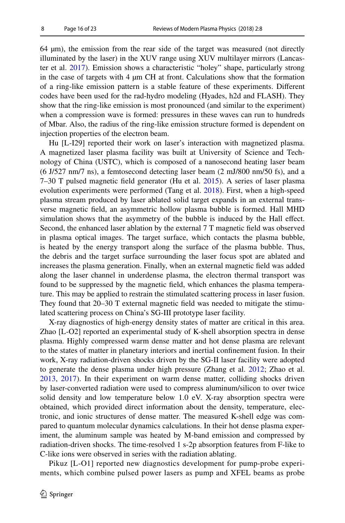$64 \mu m$ ), the emission from the rear side of the target was measured (not directly illuminated by the laser) in the XUV range using XUV multilayer mirrors (Lancaster et al. [2017\)](#page-21-50). Emission shows a characteristic "holey" shape, particularly strong in the case of targets with 4 µm CH at front. Calculations show that the formation of a ring-like emission pattern is a stable feature of these experiments. Diferent codes have been used for the rad-hydro modeling (Hyades, h2d and FLASH). They show that the ring-like emission is most pronounced (and similar to the experiment) when a compression wave is formed: pressures in these waves can run to hundreds of Mbar. Also, the radius of the ring-like emission structure formed is dependent on injection properties of the electron beam.

Hu [L-I29] reported their work on laser's interaction with magnetized plasma. A magnetized laser plasma facility was built at University of Science and Technology of China (USTC), which is composed of a nanosecond heating laser beam (6 J/527 nm/7 ns), a femtosecond detecting laser beam (2 mJ/800 nm/50 fs), and a 7–30 T pulsed magnetic feld generator (Hu et al. [2015](#page-20-43)). A series of laser plasma evolution experiments were performed (Tang et al. [2018\)](#page-22-47). First, when a high-speed plasma stream produced by laser ablated solid target expands in an external transverse magnetic feld, an asymmetric hollow plasma bubble is formed. Hall MHD simulation shows that the asymmetry of the bubble is induced by the Hall efect. Second, the enhanced laser ablation by the external 7 T magnetic feld was observed in plasma optical images. The target surface, which contacts the plasma bubble, is heated by the energy transport along the surface of the plasma bubble. Thus, the debris and the target surface surrounding the laser focus spot are ablated and increases the plasma generation. Finally, when an external magnetic feld was added along the laser channel in underdense plasma, the electron thermal transport was found to be suppressed by the magnetic feld, which enhances the plasma temperature. This may be applied to restrain the stimulated scattering process in laser fusion. They found that 20–30 T external magnetic feld was needed to mitigate the stimulated scattering process on China's SG-III prototype laser facility.

X-ray diagnostics of high-energy density states of matter are critical in this area. Zhao [L-O2] reported an experimental study of K-shell absorption spectra in dense plasma. Highly compressed warm dense matter and hot dense plasma are relevant to the states of matter in planetary interiors and inertial confnement fusion. In their work, X-ray radiation-driven shocks driven by the SG-II laser facility were adopted to generate the dense plasma under high pressure (Zhang et al. [2012;](#page-22-48) Zhao et al. [2013](#page-22-49), [2017\)](#page-22-50). In their experiment on warm dense matter, colliding shocks driven by laser-converted radiation were used to compress aluminum/silicon to over twice solid density and low temperature below 1.0 eV. X-ray absorption spectra were obtained, which provided direct information about the density, temperature, electronic, and ionic structures of dense matter. The measured K-shell edge was compared to quantum molecular dynamics calculations. In their hot dense plasma experiment, the aluminum sample was heated by M-band emission and compressed by radiation-driven shocks. The time-resolved 1 s-2p absorption features from F-like to C-like ions were observed in series with the radiation ablating.

Pikuz [L-O1] reported new diagnostics development for pump-probe experiments, which combine pulsed power lasers as pump and XFEL beams as probe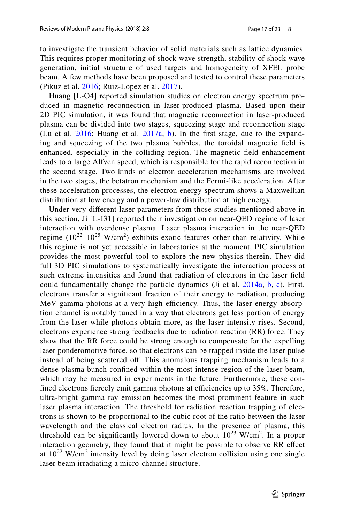to investigate the transient behavior of solid materials such as lattice dynamics. This requires proper monitoring of shock wave strength, stability of shock wave generation, initial structure of used targets and homogeneity of XFEL probe beam. A few methods have been proposed and tested to control these parameters (Pikuz et al. [2016](#page-21-51); Ruiz-Lopez et al. [2017\)](#page-21-52).

Huang [L-O4] reported simulation studies on electron energy spectrum produced in magnetic reconnection in laser-produced plasma. Based upon their 2D PIC simulation, it was found that magnetic reconnection in laser-produced plasma can be divided into two stages, squeezing stage and reconnection stage (Lu et al.  $2016$ ; Huang et al.  $2017a$ , [b\)](#page-20-26). In the first stage, due to the expanding and squeezing of the two plasma bubbles, the toroidal magnetic feld is enhanced, especially in the colliding region. The magnetic feld enhancement leads to a large Alfven speed, which is responsible for the rapid reconnection in the second stage. Two kinds of electron acceleration mechanisms are involved in the two stages, the betatron mechanism and the Fermi-like acceleration. After these acceleration processes, the electron energy spectrum shows a Maxwellian distribution at low energy and a power-law distribution at high energy.

Under very diferent laser parameters from those studies mentioned above in this section, Ji [L-I31] reported their investigation on near-QED regime of laser interaction with overdense plasma. Laser plasma interaction in the near-QED regime  $(10^{22} - 10^{25} \text{ W/cm}^2)$  exhibits exotic features other than relativity. While this regime is not yet accessible in laboratories at the moment, PIC simulation provides the most powerful tool to explore the new physics therein. They did full 3D PIC simulations to systematically investigate the interaction process at such extreme intensities and found that radiation of electrons in the laser feld could fundamentally change the particle dynamics (Ji et al. [2014a](#page-20-44), [b,](#page-20-45) [c\)](#page-20-46). First, electrons transfer a signifcant fraction of their energy to radiation, producing MeV gamma photons at a very high efficiency. Thus, the laser energy absorption channel is notably tuned in a way that electrons get less portion of energy from the laser while photons obtain more, as the laser intensity rises. Second, electrons experience strong feedbacks due to radiation reaction (RR) force. They show that the RR force could be strong enough to compensate for the expelling laser ponderomotive force, so that electrons can be trapped inside the laser pulse instead of being scattered of. This anomalous trapping mechanism leads to a dense plasma bunch confned within the most intense region of the laser beam, which may be measured in experiments in the future. Furthermore, these confined electrons fiercely emit gamma photons at efficiencies up to 35%. Therefore, ultra-bright gamma ray emission becomes the most prominent feature in such laser plasma interaction. The threshold for radiation reaction trapping of electrons is shown to be proportional to the cubic root of the ratio between the laser wavelength and the classical electron radius. In the presence of plasma, this threshold can be significantly lowered down to about  $10^{23}$  W/cm<sup>2</sup>. In a proper interaction geometry, they found that it might be possible to observe RR efect at  $10^{22}$  W/cm<sup>2</sup> intensity level by doing laser electron collision using one single laser beam irradiating a micro-channel structure.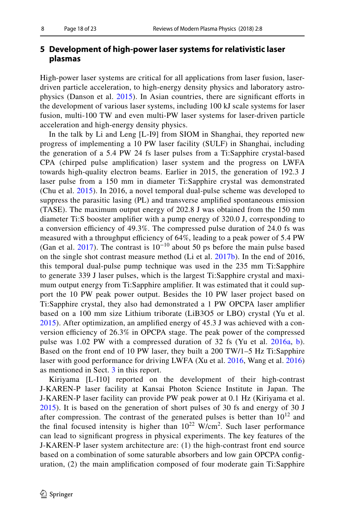# <span id="page-17-0"></span>**5 Development of high‑power laser systems for relativistic laser plasmas**

High-power laser systems are critical for all applications from laser fusion, laserdriven particle acceleration, to high-energy density physics and laboratory astro-physics (Danson et al. [2015](#page-20-47)). In Asian countries, there are significant efforts in the development of various laser systems, including 100 kJ scale systems for laser fusion, multi-100 TW and even multi-PW laser systems for laser-driven particle acceleration and high-energy density physics.

In the talk by Li and Leng [L-I9] from SIOM in Shanghai, they reported new progress of implementing a 10 PW laser facility (SULF) in Shanghai, including the generation of a 5.4 PW 24 fs laser pulses from a Ti:Sapphire crystal-based CPA (chirped pulse amplifcation) laser system and the progress on LWFA towards high-quality electron beams. Earlier in 2015, the generation of 192.3 J laser pulse from a 150 mm in diameter Ti:Sapphire crystal was demonstrated (Chu et al. [2015](#page-20-48)). In 2016, a novel temporal dual-pulse scheme was developed to suppress the parasitic lasing (PL) and transverse amplifed spontaneous emission (TASE). The maximum output energy of 202.8 J was obtained from the 150 mm diameter Ti:S booster amplifer with a pump energy of 320.0 J, corresponding to a conversion efficiency of 49.3%. The compressed pulse duration of 24.0 fs was measured with a throughput efficiency of 64%, leading to a peak power of 5.4 PW (Gan et al. [2017](#page-20-49)). The contrast is  $10^{-10}$  about 50 ps before the main pulse based on the single shot contrast measure method (Li et al. [2017b](#page-21-54)). In the end of 2016, this temporal dual-pulse pump technique was used in the 235 mm Ti:Sapphire to generate 339 J laser pulses, which is the largest Ti:Sapphire crystal and maximum output energy from Ti:Sapphire amplifer. It was estimated that it could support the 10 PW peak power output. Besides the 10 PW laser project based on Ti:Sapphire crystal, they also had demonstrated a 1 PW OPCPA laser amplifer based on a 100 mm size Lithium triborate (LiB3O5 or LBO) crystal (Yu et al. [2015\)](#page-22-51). After optimization, an amplifed energy of 45.3 J was achieved with a conversion efficiency of  $26.3\%$  in OPCPA stage. The peak power of the compressed pulse was 1.02 PW with a compressed duration of 32 fs (Yu et al. [2016a](#page-22-20), [b](#page-22-21)). Based on the front end of 10 PW laser, they built a 200 TW/1–5 Hz Ti:Sapphire laser with good performance for driving LWFA (Xu et al. [2016](#page-22-52), Wang et al. [2016\)](#page-22-19) as mentioned in Sect. [3](#page-4-0) in this report.

Kiriyama [L-I10] reported on the development of their high-contrast J-KAREN-P laser facility at Kansai Photon Science Institute in Japan. The J-KAREN-P laser facility can provide PW peak power at 0.1 Hz (Kiriyama et al. [2015\)](#page-20-50). It is based on the generation of short pulses of 30 fs and energy of 30 J after compression. The contrast of the generated pulses is better than  $10^{12}$  and the final focused intensity is higher than  $10^{22}$  W/cm<sup>2</sup>. Such laser performance can lead to signifcant progress in physical experiments. The key features of the J-KAREN-P laser system architecture are: (1) the high-contrast front end source based on a combination of some saturable absorbers and low gain OPCPA confguration, (2) the main amplifcation composed of four moderate gain Ti:Sapphire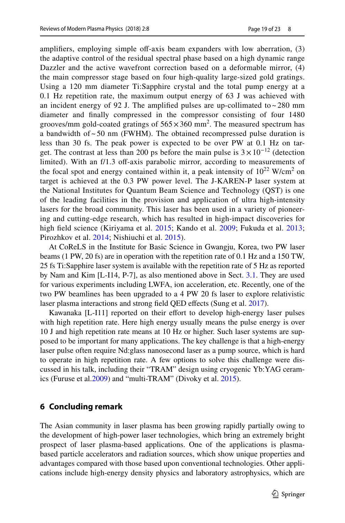amplifiers, employing simple off-axis beam expanders with low aberration,  $(3)$ the adaptive control of the residual spectral phase based on a high dynamic range Dazzler and the active wavefront correction based on a deformable mirror, (4) the main compressor stage based on four high-quality large-sized gold gratings. Using a 120 mm diameter Ti:Sapphire crystal and the total pump energy at a 0.1 Hz repetition rate, the maximum output energy of 63 J was achieved with an incident energy of 92 J. The amplified pulses are up-collimated to  $\sim$  280 mm diameter and fnally compressed in the compressor consisting of four 1480 grooves/mm gold-coated gratings of  $565 \times 360$  mm<sup>2</sup>. The measured spectrum has a bandwidth of  $\sim$  50 nm (FWHM). The obtained recompressed pulse duration is less than 30 fs. The peak power is expected to be over PW at 0.1 Hz on target. The contrast at less than 200 ps before the main pulse is  $3 \times 10^{-12}$  (detection limited). With an f/1.3 off-axis parabolic mirror, according to measurements of the focal spot and energy contained within it, a peak intensity of  $10^{22}$  W/cm<sup>2</sup> on target is achieved at the 0.3 PW power level. The J-KAREN-P laser system at the National Institutes for Quantum Beam Science and Technology (QST) is one of the leading facilities in the provision and application of ultra high-intensity lasers for the broad community. This laser has been used in a variety of pioneering and cutting-edge research, which has resulted in high-impact discoveries for high field science (Kiriyama et al. [2015;](#page-20-50) Kando et al. [2009](#page-20-51); Fukuda et al. [2013;](#page-20-52) Pirozhkov et al. [2014;](#page-21-55) Nishiuchi et al. [2015\)](#page-21-56).

At CoReLS in the Institute for Basic Science in Gwangju, Korea, two PW laser beams (1 PW, 20 fs) are in operation with the repetition rate of 0.1 Hz and a 150 TW, 25 fs Ti:Sapphire laser system is available with the repetition rate of 5 Hz as reported by Nam and Kim [L-I14, P-7], as also mentioned above in Sect. [3.1](#page-5-0). They are used for various experiments including LWFA, ion acceleration, etc. Recently, one of the two PW beamlines has been upgraded to a 4 PW 20 fs laser to explore relativistic laser plasma interactions and strong field QED effects (Sung et al. [2017\)](#page-22-17).

Kawanaka [L-I11] reported on their effort to develop high-energy laser pulses with high repetition rate. Here high energy usually means the pulse energy is over 10 J and high repetition rate means at 10 Hz or higher. Such laser systems are supposed to be important for many applications. The key challenge is that a high-energy laser pulse often require Nd:glass nanosecond laser as a pump source, which is hard to operate in high repetition rate. A few options to solve this challenge were discussed in his talk, including their "TRAM" design using cryogenic Yb:YAG ceramics (Furuse et al[.2009](#page-20-53)) and "multi-TRAM" (Divoky et al. [2015](#page-20-54)).

#### **6 Concluding remark**

The Asian community in laser plasma has been growing rapidly partially owing to the development of high-power laser technologies, which bring an extremely bright prospect of laser plasma-based applications. One of the applications is plasmabased particle accelerators and radiation sources, which show unique properties and advantages compared with those based upon conventional technologies. Other applications include high-energy density physics and laboratory astrophysics, which are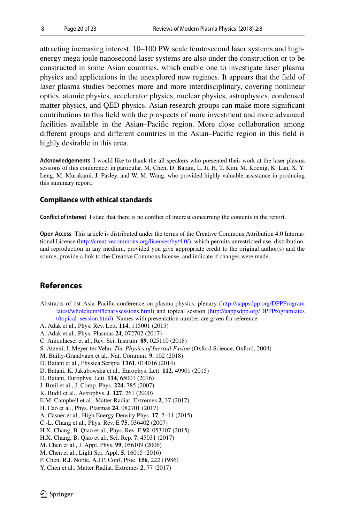attracting increasing interest. 10–100 PW scale femtosecond laser systems and highenergy mega joule nanosecond laser systems are also under the construction or to be constructed in some Asian countries, which enable one to investigate laser plasma physics and applications in the unexplored new regimes. It appears that the feld of laser plasma studies becomes more and more interdisciplinary, covering nonlinear optics, atomic physics, accelerator physics, nuclear physics, astrophysics, condensed matter physics, and QED physics. Asian research groups can make more signifcant contributions to this feld with the prospects of more investment and more advanced facilities available in the Asian–Pacifc region. More close collaboration among diferent groups and diferent countries in the Asian–Pacifc region in this feld is highly desirable in this area.

**Acknowledgements** I would like to thank the all speakers who presented their work at the laser plasma sessions of this conference, in particular, M. Chen, D. Batani, L. Ji, H. T. Kim, M. Koenig, K. Lan, X. Y. Leng, M. Murakami, J. Pasley, and W. M. Wang, who provided highly valuable assistance in producing this summary report.

#### **Compliance with ethical standards**

**Confict of interest** I state that there is no confict of interest concerning the contents in the report.

**Open Access** This article is distributed under the terms of the Creative Commons Attribution 4.0 International License ([http://creativecommons.org/licenses/by/4.0/\)](http://creativecommons.org/licenses/by/4.0/), which permits unrestricted use, distribution, and reproduction in any medium, provided you give appropriate credit to the original author(s) and the source, provide a link to the Creative Commons license, and indicate if changes were made.

### **References**

- Abstracts of 1st Asia–Pacifc conference on plasma physics, plenary ([http://aappsdpp.org/DPPProgram](http://aappsdpp.org/DPPProgramlatest/wholeitem/Plenarysessions.html) [latest/wholeitem/Plenarysessions.html\)](http://aappsdpp.org/DPPProgramlatest/wholeitem/Plenarysessions.html) and topical session [\(http://aappsdpp.org/DPPProgramlates](http://aappsdpp.org/DPPProgramlatest/topical_session.html) [t/topical\\_session.html\)](http://aappsdpp.org/DPPProgramlatest/topical_session.html). Names with presentation number are given for reference
- <span id="page-19-19"></span>A. Adak et al., Phys. Rev. Lett. **114**, 115001 (2015)
- <span id="page-19-18"></span>A. Adak et al., Phys. Plasmas **24**, 072702 (2017)
- <span id="page-19-7"></span>C. Aniculaesei et al., Rev. Sci. Instrum. **89**, 025110 (2018)
- <span id="page-19-3"></span>S. Atzeni, J. Meyer-ter-Vehn, *The Physics of Inertial Fusion* (Oxford Science, Oxford, 2004)
- <span id="page-19-6"></span>M. Bailly-Grandvaux et al., Nat. Commun. **9**, 102 (2018)
- <span id="page-19-1"></span>D. Batani et al., Physica Scripta **T161**, 014016 (2014)
- <span id="page-19-17"></span>D. Batani, K. Jakubowska et al., Europhys. Lett. **112**, 49901 (2015)
- <span id="page-19-16"></span>D. Batani, Europhys. Lett. **114**, 65001 (2016)
- <span id="page-19-15"></span>J. Breil et al., J. Comp. Phys. **224**, 785 (2007)
- <span id="page-19-14"></span>K. Budil et al., Astrophys. J. **127**, 261 (2000)
- <span id="page-19-0"></span>E.M. Campbell et al., Matter Radiat. Extremes **2**, 37 (2017)
- <span id="page-19-4"></span>H. Cao et al., Phys. Plasmas **24**, 082701 (2017)
- <span id="page-19-2"></span>A. Casner et al., High Energy Density Phys. **17**, 2–11 (2015)
- <span id="page-19-13"></span>C.-L. Chang et al., Phys. Rev. E **75**, 036402 (2007)
- <span id="page-19-11"></span>H.X. Chang, B. Qiao et al., Phys. Rev. E **92**, 053107 (2015)
- <span id="page-19-12"></span>H.X. Chang, B. Qiao et al., Sci. Rep. **7**, 45031 (2017)
- <span id="page-19-8"></span>M. Chen et al., J. Appl. Phys. **99**, 056109 (2006)
- <span id="page-19-10"></span>M. Chen et al., Light Sci. Appl. **5**, 16015 (2016)
- <span id="page-19-9"></span>P. Chen, R.J. Noble, A.I.P. Conf, Proc. **156**, 222 (1986)
- <span id="page-19-5"></span>Y. Chen et al., Matter Radiat. Extremes **2**, 77 (2017)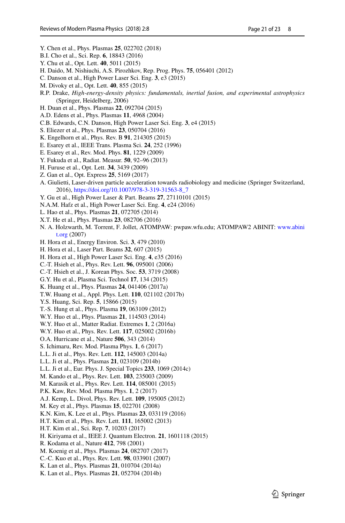- <span id="page-20-10"></span>Y. Chen et al., Phys. Plasmas **25**, 022702 (2018)
- <span id="page-20-39"></span>B.I. Cho et al., Sci. Rep. **6**, 18843 (2016)
- <span id="page-20-48"></span>Y. Chu et al., Opt. Lett. **40**, 5011 (2015)
- <span id="page-20-33"></span>H. Daido, M. Nishiuchi, A.S. Pirozhkov, Rep. Prog. Phys. **75**, 056401 (2012)
- <span id="page-20-47"></span>C. Danson et al., High Power Laser Sci. Eng. **3**, e3 (2015)
- <span id="page-20-54"></span>M. Divoky et al., Opt. Lett. **40**, 855 (2015)
- <span id="page-20-36"></span>R.P. Drake, *High-energy-density physics: fundamentals, inertial fusion, and experimental astrophysics* (Springer, Heidelberg, 2006)
- <span id="page-20-7"></span>H. Duan et al., Phys. Plasmas **22**, 092704 (2015)
- <span id="page-20-41"></span>A.D. Edens et al., Phys. Plasmas **11**, 4968 (2004)
- <span id="page-20-2"></span>C.B. Edwards, C.N. Danson, High Power Laser Sci. Eng. **3**, e4 (2015)
- <span id="page-20-18"></span>S. Eliezer et al., Phys. Plasmas **23**, 050704 (2016)
- <span id="page-20-40"></span>K. Engelhorn et al., Phys. Rev. B **91**, 214305 (2015)
- <span id="page-20-28"></span>E. Esarey et al., IEEE Trans. Plasma Sci. **24**, 252 (1996)
- <span id="page-20-20"></span>E. Esarey et al., Rev. Mod. Phys. **81**, 1229 (2009)
- <span id="page-20-52"></span>Y. Fukuda et al., Radiat. Measur. **50**, 92–96 (2013)
- <span id="page-20-53"></span>H. Furuse et al., Opt. Lett. **34**, 3439 (2009)
- <span id="page-20-49"></span>Z. Gan et al., Opt. Express **25**, 5169 (2017)
- <span id="page-20-22"></span>A. Giulietti, Laser-driven particle acceleration towards radiobiology and medicine (Springer Switzerland, 2016), [https://doi.org/10.1007/978-3-319-31563-8\\_7](https://doi.org/10.1007/978-3-319-31563-8_7)
- <span id="page-20-13"></span>Y. Gu et al., High Power Laser & Part. Beams **27**, 27110101 (2015)
- <span id="page-20-24"></span>N.A.M. Hafz et al., High Power Laser Sci. Eng. **4**, e24 (2016)
- <span id="page-20-11"></span>L. Hao et al., Phys. Plasmas **21**, 072705 (2014)
- <span id="page-20-3"></span>X.T. He et al., Phys. Plasmas **23**, 082706 (2016)
- <span id="page-20-42"></span>N. A. Holzwarth, M. Torrent, F. Jollet, ATOMPAW: pwpaw.wfu.edu; ATOMPAW2 ABINIT: [www.abini](http://www.abinit.org) [t.org](http://www.abinit.org) (2007)
- <span id="page-20-16"></span>H. Hora et al., Energy Environ. Sci. **3**, 479 (2010)
- <span id="page-20-15"></span>H. Hora et al., Laser Part. Beams **32**, 607 (2015)
- <span id="page-20-17"></span>H. Hora et al., High Power Laser Sci. Eng. **4**, e35 (2016)
- <span id="page-20-30"></span>C.-T. Hsieh et al., Phys. Rev. Lett. **96**, 095001 (2006)
- <span id="page-20-31"></span>C.-T. Hsieh et al., J. Korean Phys. Soc. **53**, 3719 (2008)
- <span id="page-20-43"></span>G.Y. Hu et al., Plasma Sci. Technol **17**, 134 (2015)
- <span id="page-20-25"></span>K. Huang et al., Phys. Plasmas **24**, 041406 (2017a)
- <span id="page-20-26"></span>T.W. Huang et al., Appl. Phys. Lett. **110**, 021102 (2017b)
- <span id="page-20-27"></span>Y.S. Huang, Sci. Rep. **5**, 15866 (2015)
- <span id="page-20-32"></span>T.-S. Hung et al., Phys. Plasma **19**, 063109 (2012)
- <span id="page-20-6"></span>W.Y. Huo et al., Phys. Plasmas **21**, 114503 (2014)
- <span id="page-20-8"></span>W.Y. Huo et al., Matter Radiat. Extremes **1**, 2 (2016a)
- <span id="page-20-9"></span>W.Y. Huo et al., Phys. Rev. Lett. **117**, 025002 (2016b)
- <span id="page-20-1"></span>O.A. Hurricane et al., Nature **506**, 343 (2014)
- <span id="page-20-37"></span>S. Ichimaru, Rev. Mod. Plasma Phys. **1**, 6 (2017)
- <span id="page-20-44"></span>L.L. Ji et al., Phys. Rev. Lett. **112**, 145003 (2014a)
- <span id="page-20-45"></span>L.L. Ji et al., Phys. Plasmas **21**, 023109 (2014b)
- <span id="page-20-46"></span>L.L. Ji et al., Eur. Phys. J. Special Topics **233**, 1069 (2014c)
- <span id="page-20-51"></span>M. Kando et al., Phys. Rev. Lett. **103**, 235003 (2009)
- <span id="page-20-19"></span>M. Karasik et al., Phys. Rev. Lett. **114**, 085001 (2015)
- <span id="page-20-0"></span>P.K. Kaw, Rev. Mod. Plasma Phys. **1**, 2 (2017)
- <span id="page-20-34"></span>A.J. Kemp, L. Divol, Phys. Rev. Lett. **109**, 195005 (2012)
- <span id="page-20-14"></span>M. Key et al., Phys. Plasmas **15**, 022701 (2008)
- <span id="page-20-35"></span>K.N. Kim, K. Lee et al., Phys. Plasmas **23**, 033119 (2016)
- <span id="page-20-21"></span>H.T. Kim et al., Phys. Rev. Lett. **111**, 165002 (2013)
- <span id="page-20-23"></span>H.T. Kim et al., Sci. Rep. **7**, 10203 (2017)
- <span id="page-20-50"></span>H. Kiriyama et al., IEEE J. Quantum Electron. **21**, 1601118 (2015)
- <span id="page-20-12"></span>R. Kodama et al., Nature **412**, 798 (2001)
- <span id="page-20-38"></span>M. Koenig et al., Phys. Plasmas **24**, 082707 (2017)
- <span id="page-20-29"></span>C.-C. Kuo et al., Phys. Rev. Lett. **98**, 033901 (2007)
- <span id="page-20-4"></span>K. Lan et al., Phys. Plasmas **21**, 010704 (2014a)
- <span id="page-20-5"></span>K. Lan et al., Phys. Plasmas **21**, 052704 (2014b)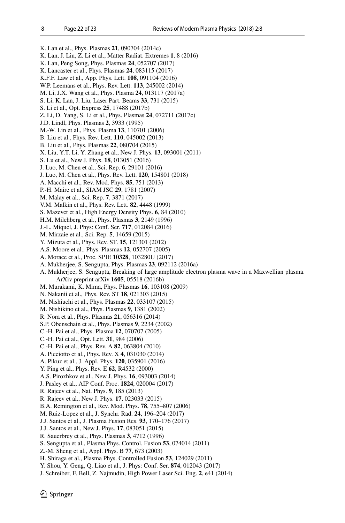<span id="page-21-56"></span><span id="page-21-55"></span><span id="page-21-54"></span><span id="page-21-53"></span><span id="page-21-52"></span><span id="page-21-51"></span><span id="page-21-50"></span><span id="page-21-49"></span><span id="page-21-48"></span><span id="page-21-47"></span><span id="page-21-46"></span><span id="page-21-45"></span><span id="page-21-44"></span><span id="page-21-43"></span><span id="page-21-42"></span><span id="page-21-41"></span><span id="page-21-40"></span><span id="page-21-39"></span><span id="page-21-38"></span><span id="page-21-37"></span><span id="page-21-36"></span><span id="page-21-35"></span><span id="page-21-34"></span><span id="page-21-33"></span><span id="page-21-32"></span><span id="page-21-31"></span><span id="page-21-30"></span><span id="page-21-29"></span><span id="page-21-28"></span><span id="page-21-27"></span><span id="page-21-26"></span><span id="page-21-25"></span><span id="page-21-24"></span><span id="page-21-23"></span><span id="page-21-22"></span><span id="page-21-21"></span><span id="page-21-20"></span><span id="page-21-19"></span><span id="page-21-18"></span><span id="page-21-17"></span><span id="page-21-16"></span><span id="page-21-15"></span><span id="page-21-14"></span><span id="page-21-13"></span><span id="page-21-12"></span><span id="page-21-11"></span><span id="page-21-10"></span><span id="page-21-9"></span><span id="page-21-8"></span><span id="page-21-7"></span><span id="page-21-6"></span><span id="page-21-5"></span><span id="page-21-4"></span><span id="page-21-3"></span><span id="page-21-2"></span><span id="page-21-1"></span><span id="page-21-0"></span>K. Lan et al., Phys. Plasmas **21**, 090704 (2014c) K. Lan, J. Liu, Z. Li et al., Matter Radiat. Extremes **1**, 8 (2016) K. Lan, Peng Song, Phys. Plasmas **24**, 052707 (2017) K. Lancaster et al., Phys. Plasmas **24**, 083115 (2017) K.F.F. Law et al., App. Phys. Lett. **108**, 091104 (2016) W.P. Leemans et al., Phys. Rev. Lett. **113**, 245002 (2014) M. Li, J.X. Wang et al., Phys. Plasma **24**, 013117 (2017a) S. Li, K. Lan, J. Liu, Laser Part. Beams **33**, 731 (2015) S. Li et al., Opt. Express **25**, 17488 (2017b) Z. Li, D. Yang, S. Li et al., Phys. Plasmas **24**, 072711 (2017c) J.D. Lindl, Phys. Plasmas **2**, 3933 (1995) M.-W. Lin et al., Phys. Plasma **13**, 110701 (2006) B. Liu et al., Phys. Rev. Lett. **110**, 045002 (2013) B. Liu et al., Phys. Plasmas **22**, 080704 (2015) X. Liu, Y.T. Li, Y. Zhang et al., New J. Phys. **13**, 093001 (2011) S. Lu et al., New J. Phys. **18**, 013051 (2016) J. Luo, M. Chen et al., Sci. Rep. **6**, 29101 (2016) J. Luo, M. Chen et al., Phys. Rev. Lett. **120**, 154801 (2018) A. Macchi et al., Rev. Mod. Phys. **85**, 751 (2013) P.-H. Maire et al., SIAM JSC **29**, 1781 (2007) M. Malay et al., Sci. Rep. **7**, 3871 (2017) V.M. Malkin et al., Phys. Rev. Lett. **82**, 4448 (1999) S. Mazevet et al., High Energy Density Phys. **6**, 84 (2010) H.M. Milchberg et al., Phys. Plasmas **3**, 2149 (1996) J.-L. Miquel, J. Phys: Conf. Ser. **717**, 012084 (2016) M. Mirzaie et al., Sci. Rep. **5**, 14659 (2015) Y. Mizuta et al., Phys. Rev. ST. **15**, 121301 (2012) A.S. Moore et al., Phys. Plasmas **12**, 052707 (2005) A. Morace et al., Proc. SPIE **10328**, 103280U (2017) A. Mukherjee, S. Sengupta, Phys. Plasmas **23**, 092112 (2016a) A. Mukherjee, S. Sengupta, Breaking of large amplitude electron plasma wave in a Maxwellian plasma. ArXiv preprint arXiv **1605**, 05518 (2016b) M. Murakami, K. Mima, Phys. Plasmas **16**, 103108 (2009) N. Nakanii et al., Phys. Rev. ST **18**, 021303 (2015) M. Nishiuchi et al., Phys. Plasmas **22**, 033107 (2015) M. Nishikino et al., Phys. Plasmas **9**, 1381 (2002) R. Nora et al., Phys. Plasmas **21**, 056316 (2014) S.P. Obenschain et al., Phys. Plasmas **9**, 2234 (2002) C.-H. Pai et al., Phys. Plasma **12**, 070707 (2005) C.-H. Pai et al., Opt. Lett. **31**, 984 (2006) C.-H. Pai et al., Phys. Rev. A **82**, 063804 (2010) A. Picciotto et al., Phys. Rev. X **4**, 031030 (2014) A. Pikuz et al., J. Appl. Phys. **120**, 035901 (2016) Y. Ping et al., Phys. Rev. E **62**, R4532 (2000) A.S. Pirozhkov et al., New J. Phys. **16**, 093003 (2014) J. Pasley et al., AIP Conf. Proc. **1824**, 020004 (2017) R. Rajeev et al., Nat. Phys. **9**, 185 (2013) R. Rajeev et al., New J. Phys. **17**, 023033 (2015) B.A. Remington et al., Rev. Mod. Phys. **78**, 755–807 (2006) M. Ruiz-Lopez et al., J. Synchr. Rad. **24**, 196–204 (2017) J.J. Santos et al., J. Plasma Fusion Res. **93**, 170–176 (2017) J.J. Santos et al., New J. Phys. **17**, 083051 (2015) R. Sauerbrey et al., Phys. Plasmas **3**, 4712 (1996) S. Sengupta et al., Plasma Phys. Control. Fusion **53**, 074014 (2011) Z.-M. Sheng et al., Appl. Phys. B **77**, 673 (2003) H. Shiraga et al., Plasma Phys. Controlled Fusion **53**, 124029 (2011) Y. Shou, Y. Geng, Q. Liao et al., J. Phys: Conf. Ser. **874**, 012043 (2017) J. Schreiber, F. Bell, Z. Najmudin, High Power Laser Sci. Eng. **2**, e41 (2014)